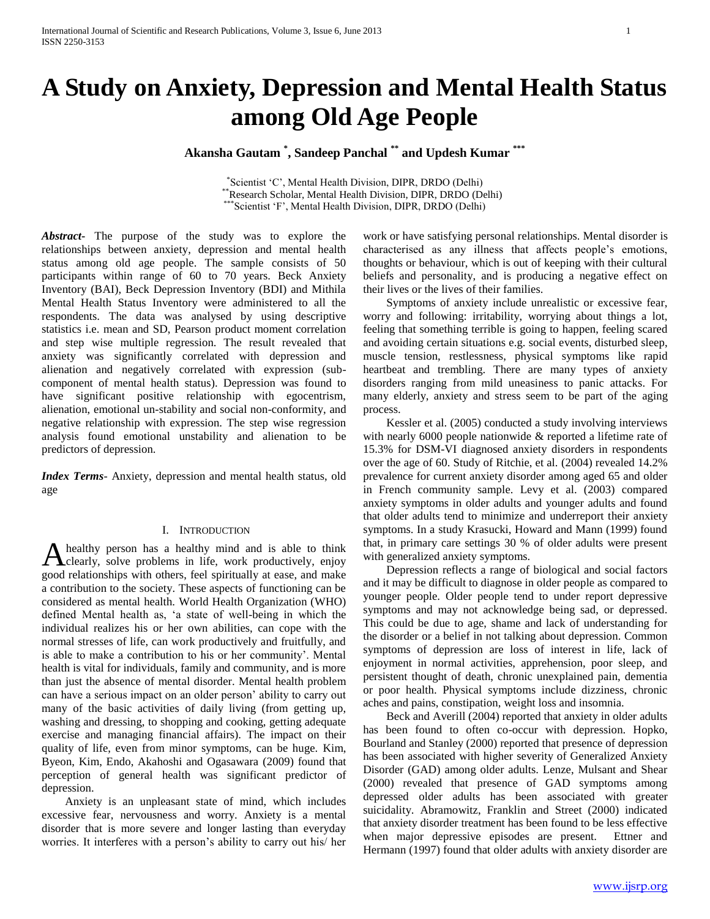# **A Study on Anxiety, Depression and Mental Health Status among Old Age People**

# **Akansha Gautam \* , Sandeep Panchal \*\* and Updesh Kumar \*\*\***

\* Scientist 'C', Mental Health Division, DIPR, DRDO (Delhi) \*\*Research Scholar, Mental Health Division, DIPR, DRDO (Delhi) \*\*\*Scientist 'F', Mental Health Division, DIPR, DRDO (Delhi)

*Abstract***-** The purpose of the study was to explore the relationships between anxiety, depression and mental health status among old age people. The sample consists of 50 participants within range of 60 to 70 years. Beck Anxiety Inventory (BAI), Beck Depression Inventory (BDI) and Mithila Mental Health Status Inventory were administered to all the respondents. The data was analysed by using descriptive statistics i.e. mean and SD, Pearson product moment correlation and step wise multiple regression. The result revealed that anxiety was significantly correlated with depression and alienation and negatively correlated with expression (subcomponent of mental health status). Depression was found to have significant positive relationship with egocentrism, alienation, emotional un-stability and social non-conformity, and negative relationship with expression. The step wise regression analysis found emotional unstability and alienation to be predictors of depression.

*Index Terms*- Anxiety, depression and mental health status, old age

# I. INTRODUCTION

healthy person has a healthy mind and is able to think A healthy person has a healthy mind and is able to think<br>clearly, solve problems in life, work productively, enjoy good relationships with others, feel spiritually at ease, and make a contribution to the society. These aspects of functioning can be considered as mental health. World Health Organization (WHO) defined Mental health as, 'a state of well-being in which the individual realizes his or her own abilities, can cope with the normal stresses of life, can work productively and fruitfully, and is able to make a contribution to his or her community'. Mental health is vital for individuals, family and community, and is more than just the absence of mental disorder. Mental health problem can have a serious impact on an older person' ability to carry out many of the basic activities of daily living (from getting up, washing and dressing, to shopping and cooking, getting adequate exercise and managing financial affairs). The impact on their quality of life, even from minor symptoms, can be huge. Kim, Byeon, Kim, Endo, Akahoshi and Ogasawara (2009) found that perception of general health was significant predictor of depression.

 Anxiety is an unpleasant state of mind, which includes excessive fear, nervousness and worry. Anxiety is a mental disorder that is more severe and longer lasting than everyday worries. It interferes with a person's ability to carry out his/ her work or have satisfying personal relationships. Mental disorder is characterised as any illness that affects people's emotions, thoughts or behaviour, which is out of keeping with their cultural beliefs and personality, and is producing a negative effect on their lives or the lives of their families.

 Symptoms of anxiety include unrealistic or excessive fear, worry and following: irritability, worrying about things a lot, feeling that something terrible is going to happen, feeling scared and avoiding certain situations e.g. social events, disturbed sleep, muscle tension, restlessness, physical symptoms like rapid heartbeat and trembling. There are many types of anxiety disorders ranging from mild uneasiness to panic attacks. For many elderly, anxiety and stress seem to be part of the aging process.

 Kessler et al. (2005) conducted a study involving interviews with nearly 6000 people nationwide & reported a lifetime rate of 15.3% for DSM-VI diagnosed anxiety disorders in respondents over the age of 60. Study of Ritchie, et al. (2004) revealed 14.2% prevalence for current anxiety disorder among aged 65 and older in French community sample. Levy et al. (2003) compared anxiety symptoms in older adults and younger adults and found that older adults tend to minimize and underreport their anxiety symptoms. In a study Krasucki, Howard and Mann (1999) found that, in primary care settings 30 % of older adults were present with generalized anxiety symptoms.

 Depression reflects a range of biological and social factors and it may be difficult to diagnose in older people as compared to younger people. Older people tend to under report depressive symptoms and may not acknowledge being sad, or depressed. This could be due to age, shame and lack of understanding for the disorder or a belief in not talking about depression. Common symptoms of depression are loss of interest in life, lack of enjoyment in normal activities, apprehension, poor sleep, and persistent thought of death, chronic unexplained pain, dementia or poor health. Physical symptoms include dizziness, chronic aches and pains, constipation, weight loss and insomnia.

 Beck and Averill (2004) reported that anxiety in older adults has been found to often co-occur with depression. Hopko, Bourland and Stanley (2000) reported that presence of depression has been associated with higher severity of Generalized Anxiety Disorder (GAD) among older adults. Lenze, Mulsant and Shear (2000) revealed that presence of GAD symptoms among depressed older adults has been associated with greater suicidality. Abramowitz, Franklin and Street (2000) indicated that anxiety disorder treatment has been found to be less effective when major depressive episodes are present. Ettner and Hermann (1997) found that older adults with anxiety disorder are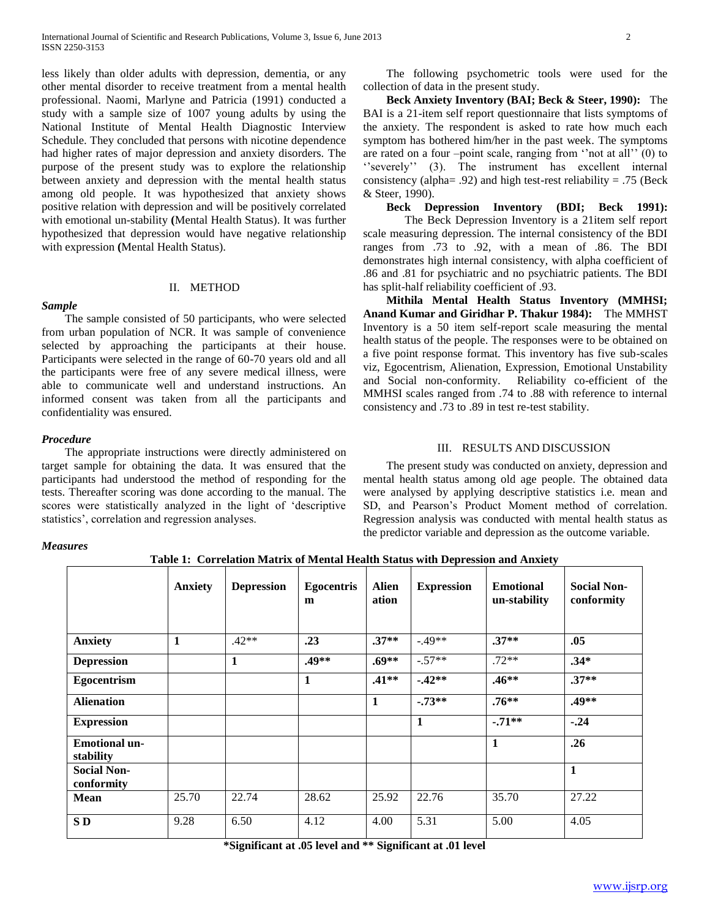less likely than older adults with depression, dementia, or any other mental disorder to receive treatment from a mental health professional. Naomi, Marlyne and Patricia (1991) conducted a study with a sample size of 1007 young adults by using the National Institute of Mental Health Diagnostic Interview Schedule. They concluded that persons with nicotine dependence had higher rates of major depression and anxiety disorders. The purpose of the present study was to explore the relationship between anxiety and depression with the mental health status among old people. It was hypothesized that anxiety shows positive relation with depression and will be positively correlated with emotional un-stability **(**Mental Health Status). It was further hypothesized that depression would have negative relationship with expression **(**Mental Health Status).

### II. METHOD

*Sample* The sample consisted of 50 participants, who were selected from urban population of NCR. It was sample of convenience selected by approaching the participants at their house. Participants were selected in the range of 60-70 years old and all the participants were free of any severe medical illness, were able to communicate well and understand instructions. An informed consent was taken from all the participants and confidentiality was ensured.

#### *Procedure*

 The appropriate instructions were directly administered on target sample for obtaining the data. It was ensured that the participants had understood the method of responding for the tests. Thereafter scoring was done according to the manual. The scores were statistically analyzed in the light of 'descriptive statistics', correlation and regression analyses.

 The following psychometric tools were used for the collection of data in the present study.

 **Beck Anxiety Inventory (BAI; Beck & Steer, 1990):** The BAI is a 21-item self report questionnaire that lists symptoms of the anxiety. The respondent is asked to rate how much each symptom has bothered him/her in the past week. The symptoms are rated on a four –point scale, ranging from ''not at all'' (0) to "severely" (3). The instrument has excellent internal consistency (alpha= .92) and high test-rest reliability = .75 (Beck & Steer, 1990).

**Beck Depression Inventory (BDI; Beck 1991):** 

The Beck Depression Inventory is a 21item self report scale measuring depression. The internal consistency of the BDI ranges from .73 to .92, with a mean of .86. The BDI demonstrates high internal consistency, with alpha coefficient of .86 and .81 for psychiatric and no psychiatric patients. The BDI has split-half reliability coefficient of .93.

 **Mithila Mental Health Status Inventory (MMHSI; Anand Kumar and Giridhar P. Thakur 1984):** The MMHST Inventory is a 50 item self-report scale measuring the mental health status of the people. The responses were to be obtained on a five point response format. This inventory has five sub-scales viz, Egocentrism, Alienation, Expression, Emotional Unstability and Social non-conformity. Reliability co-efficient of the MMHSI scales ranged from .74 to .88 with reference to internal consistency and .73 to .89 in test re-test stability.

## III. RESULTS AND DISCUSSION

 The present study was conducted on anxiety, depression and mental health status among old age people. The obtained data were analysed by applying descriptive statistics i.e. mean and SD, and Pearson's Product Moment method of correlation. Regression analysis was conducted with mental health status as the predictor variable and depression as the outcome variable.

#### *Measures*

**Table 1: Correlation Matrix of Mental Health Status with Depression and Anxiety**

|                                   | <b>Anxiety</b> | <b>Depression</b> | <b>Egocentris</b><br>m | <b>Alien</b><br>ation | <b>Expression</b> | <b>Emotional</b><br>un-stability | <b>Social Non-</b><br>conformity |
|-----------------------------------|----------------|-------------------|------------------------|-----------------------|-------------------|----------------------------------|----------------------------------|
| <b>Anxiety</b>                    | 1              | $.42**$           | .23                    | $.37**$               | $-49**$           | $.37**$                          | .05                              |
| <b>Depression</b>                 |                | $\mathbf{1}$      | $.49**$                | $.69**$               | $-.57**$          | $.72**$                          | $.34*$                           |
| Egocentrism                       |                |                   | $\mathbf{1}$           | $.41**$               | $-42**$           | $.46**$                          | $.37**$                          |
| <b>Alienation</b>                 |                |                   |                        | 1                     | $-73**$           | $.76**$                          | $.49**$                          |
| <b>Expression</b>                 |                |                   |                        |                       | 1                 | $-71**$                          | $-.24$                           |
| <b>Emotional un-</b><br>stability |                |                   |                        |                       |                   | $\mathbf 1$                      | .26                              |
| <b>Social Non-</b><br>conformity  |                |                   |                        |                       |                   |                                  | $\mathbf{1}$                     |
| <b>Mean</b>                       | 25.70          | 22.74             | 28.62                  | 25.92                 | 22.76             | 35.70                            | 27.22                            |
| SD <sub>1</sub>                   | 9.28           | 6.50              | 4.12                   | 4.00                  | 5.31              | 5.00                             | 4.05                             |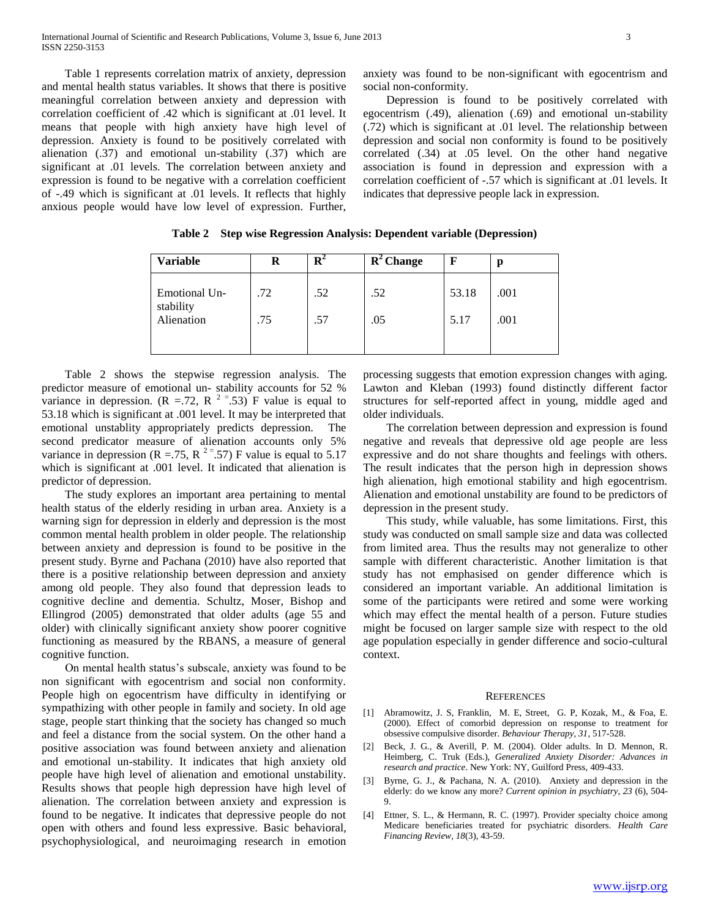Table 1 represents correlation matrix of anxiety, depression and mental health status variables. It shows that there is positive meaningful correlation between anxiety and depression with correlation coefficient of .42 which is significant at .01 level. It means that people with high anxiety have high level of depression. Anxiety is found to be positively correlated with alienation (.37) and emotional un-stability (.37) which are significant at .01 levels. The correlation between anxiety and expression is found to be negative with a correlation coefficient of -.49 which is significant at .01 levels. It reflects that highly anxious people would have low level of expression. Further, anxiety was found to be non-significant with egocentrism and social non-conformity.

 Depression is found to be positively correlated with egocentrism (.49), alienation (.69) and emotional un-stability (.72) which is significant at .01 level. The relationship between depression and social non conformity is found to be positively correlated (.34) at .05 level. On the other hand negative association is found in depression and expression with a correlation coefficient of -.57 which is significant at .01 levels. It indicates that depressive people lack in expression.

| Variable                   | R   | R   | $R^2$ Change | F     | p    |
|----------------------------|-----|-----|--------------|-------|------|
| Emotional Un-<br>stability | .72 | .52 | .52          | 53.18 | .001 |
| Alienation                 | .75 | .57 | .05          | 5.17  | .001 |
|                            |     |     |              |       |      |

**Table 2 Step wise Regression Analysis: Dependent variable (Depression)**

 Table 2 shows the stepwise regression analysis. The predictor measure of emotional un- stability accounts for 52 % variance in depression. (R = 72, R  $^{2}$  = 53) F value is equal to 53.18 which is significant at .001 level. It may be interpreted that emotional unstablity appropriately predicts depression. The second predicator measure of alienation accounts only 5% variance in depression (R = .75, R  $^{2}$  = .57) F value is equal to 5.17 which is significant at .001 level. It indicated that alienation is predictor of depression.

 The study explores an important area pertaining to mental health status of the elderly residing in urban area. Anxiety is a warning sign for depression in elderly and depression is the most common mental health problem in older people. The relationship between anxiety and depression is found to be positive in the present study. Byrne and Pachana (2010) have also reported that there is a positive relationship between depression and anxiety among old people. They also found that depression leads to cognitive decline and dementia. Schultz, Moser, Bishop and Ellingrod (2005) demonstrated that older adults (age 55 and older) with clinically significant anxiety show poorer cognitive functioning as measured by the RBANS, a measure of general cognitive function.

 On mental health status's subscale, anxiety was found to be non significant with egocentrism and social non conformity. People high on egocentrism have difficulty in identifying or sympathizing with other people in family and society. In old age stage, people start thinking that the society has changed so much and feel a distance from the social system. On the other hand a positive association was found between anxiety and alienation and emotional un-stability. It indicates that high anxiety old people have high level of alienation and emotional unstability. Results shows that people high depression have high level of alienation. The correlation between anxiety and expression is found to be negative. It indicates that depressive people do not open with others and found less expressive. Basic behavioral, psychophysiological, and neuroimaging research in emotion processing suggests that emotion expression changes with aging. Lawton and Kleban (1993) found distinctly different factor structures for self-reported affect in young, middle aged and older individuals.

 The correlation between depression and expression is found negative and reveals that depressive old age people are less expressive and do not share thoughts and feelings with others. The result indicates that the person high in depression shows high alienation, high emotional stability and high egocentrism. Alienation and emotional unstability are found to be predictors of depression in the present study.

 This study, while valuable, has some limitations. First, this study was conducted on small sample size and data was collected from limited area. Thus the results may not generalize to other sample with different characteristic. Another limitation is that study has not emphasised on gender difference which is considered an important variable. An additional limitation is some of the participants were retired and some were working which may effect the mental health of a person. Future studies might be focused on larger sample size with respect to the old age population especially in gender difference and socio-cultural context.

#### **REFERENCES**

- [1] Abramowitz, J. S, Franklin, M. E, Street, G. P, Kozak, M., & Foa, E. (2000). Effect of comorbid depression on response to treatment for obsessive compulsive disorder. *Behaviour Therapy, 31*, 517-528.
- [2] Beck, J. G., & Averill, P. M. (2004). Older adults. In D. Mennon, R. Heimberg, C. Truk (Eds.), *Generalized Anxiety Disorder: Advances in research and practice*. New York: NY, Guilford Press, 409-433.
- [3] Byrne, G. J., & Pachana, N. A. (2010). Anxiety and depression in the elderly: do we know any more? *Current opinion in psychiatry*, *23* (6), 504- 9.
- [4] Ettner, S. L., & Hermann, R. C. (1997). Provider specialty choice among Medicare beneficiaries treated for psychiatric disorders. *Health Care Financing Review, 18*(3), 43-59.